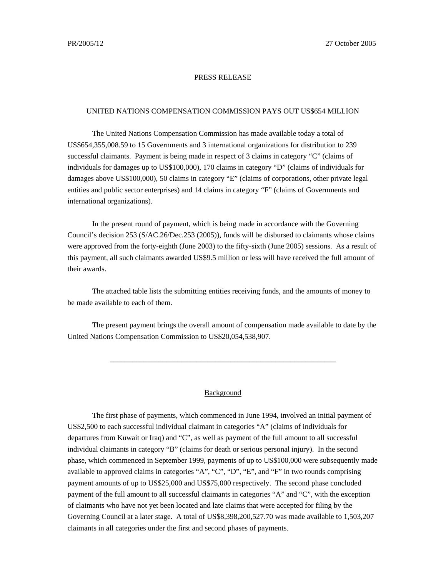## PRESS RELEASE

## UNITED NATIONS COMPENSATION COMMISSION PAYS OUT US\$654 MILLION

The United Nations Compensation Commission has made available today a total of US\$654,355,008.59 to 15 Governments and 3 international organizations for distribution to 239 successful claimants. Payment is being made in respect of 3 claims in category "C" (claims of individuals for damages up to US\$100,000), 170 claims in category "D" (claims of individuals for damages above US\$100,000), 50 claims in category "E" (claims of corporations, other private legal entities and public sector enterprises) and 14 claims in category "F" (claims of Governments and international organizations).

In the present round of payment, which is being made in accordance with the Governing Council's decision 253 (S/AC.26/Dec.253 (2005)), funds will be disbursed to claimants whose claims were approved from the forty-eighth (June 2003) to the fifty-sixth (June 2005) sessions. As a result of this payment, all such claimants awarded US\$9.5 million or less will have received the full amount of their awards.

The attached table lists the submitting entities receiving funds, and the amounts of money to be made available to each of them.

The present payment brings the overall amount of compensation made available to date by the United Nations Compensation Commission to US\$20,054,538,907.

\_\_\_\_\_\_\_\_\_\_\_\_\_\_\_\_\_\_\_\_\_\_\_\_\_\_\_\_\_\_\_\_\_\_\_\_\_\_\_\_\_\_\_\_\_\_\_\_\_\_\_\_\_\_\_\_\_\_\_\_

## Background

The first phase of payments, which commenced in June 1994, involved an initial payment of US\$2,500 to each successful individual claimant in categories "A" (claims of individuals for departures from Kuwait or Iraq) and "C", as well as payment of the full amount to all successful individual claimants in category "B" (claims for death or serious personal injury). In the second phase, which commenced in September 1999, payments of up to US\$100,000 were subsequently made available to approved claims in categories "A", "C", "D", "E", and "F" in two rounds comprising payment amounts of up to US\$25,000 and US\$75,000 respectively. The second phase concluded payment of the full amount to all successful claimants in categories "A" and "C", with the exception of claimants who have not yet been located and late claims that were accepted for filing by the Governing Council at a later stage. A total of US\$8,398,200,527.70 was made available to 1,503,207 claimants in all categories under the first and second phases of payments.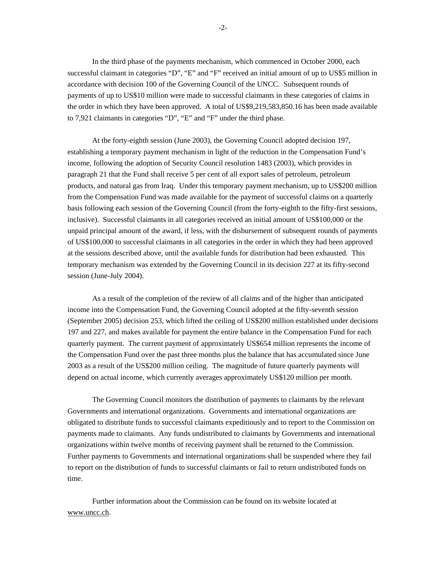In the third phase of the payments mechanism, which commenced in October 2000, each successful claimant in categories "D", "E" and "F" received an initial amount of up to US\$5 million in accordance with decision 100 of the Governing Council of the UNCC. Subsequent rounds of payments of up to US\$10 million were made to successful claimants in these categories of claims in the order in which they have been approved. A total of US\$9,219,583,850.16 has been made available to 7,921 claimants in categories "D", "E" and "F" under the third phase.

At the forty-eighth session (June 2003), the Governing Council adopted decision 197, establishing a temporary payment mechanism in light of the reduction in the Compensation Fund's income, following the adoption of Security Council resolution 1483 (2003), which provides in paragraph 21 that the Fund shall receive 5 per cent of all export sales of petroleum, petroleum products, and natural gas from Iraq. Under this temporary payment mechanism, up to US\$200 million from the Compensation Fund was made available for the payment of successful claims on a quarterly basis following each session of the Governing Council (from the forty-eighth to the fifty-first sessions, inclusive). Successful claimants in all categories received an initial amount of US\$100,000 or the unpaid principal amount of the award, if less, with the disbursement of subsequent rounds of payments of US\$100,000 to successful claimants in all categories in the order in which they had been approved at the sessions described above, until the available funds for distribution had been exhausted. This temporary mechanism was extended by the Governing Council in its decision 227 at its fifty-second session (June-July 2004).

As a result of the completion of the review of all claims and of the higher than anticipated income into the Compensation Fund, the Governing Council adopted at the fifty-seventh session (September 2005) decision 253, which lifted the ceiling of US\$200 million established under decisions 197 and 227, and makes available for payment the entire balance in the Compensation Fund for each quarterly payment. The current payment of approximately US\$654 million represents the income of the Compensation Fund over the past three months plus the balance that has accumulated since June 2003 as a result of the US\$200 million ceiling. The magnitude of future quarterly payments will depend on actual income, which currently averages approximately US\$120 million per month.

The Governing Council monitors the distribution of payments to claimants by the relevant Governments and international organizations. Governments and international organizations are obligated to distribute funds to successful claimants expeditiously and to report to the Commission on payments made to claimants. Any funds undistributed to claimants by Governments and international organizations within twelve months of receiving payment shall be returned to the Commission. Further payments to Governments and international organizations shall be suspended where they fail to report on the distribution of funds to successful claimants or fail to return undistributed funds on time.

Further information about the Commission can be found on its website located at www.uncc.ch.

-2-